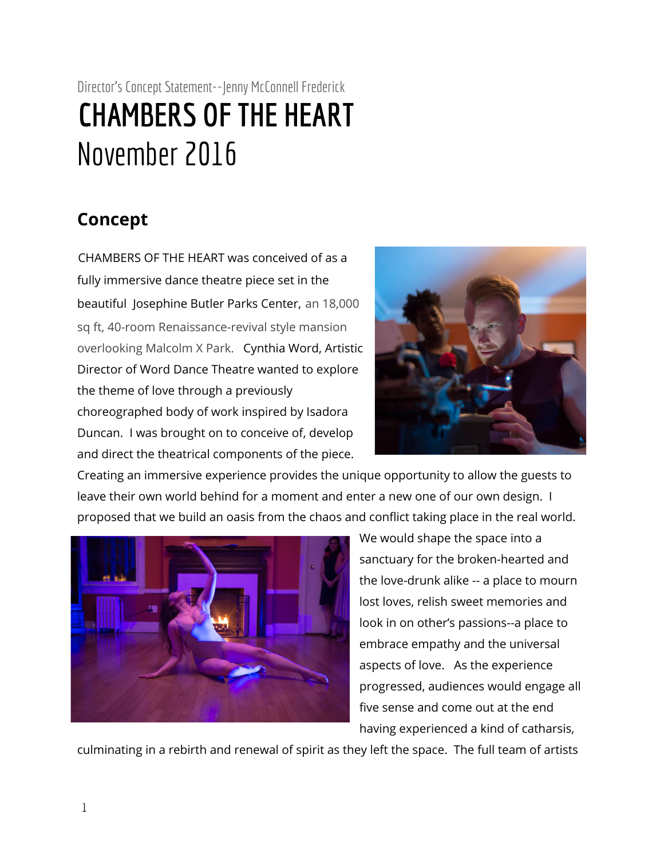## Director's Concept Statement--Jenny McConnell Frederick **CHAMBERS OFTHE HEART** November 2016

## **Concept**

CHAMBERS OF THE HEART was conceived of as a fully immersive dance theatre piece set in the beautiful Josephine Butler Parks Center, an 18,000 sq ft, 40-room Renaissance-revival style mansion overlooking Malcolm X Park. Cynthia Word, Artistic Director of Word Dance Theatre wanted to explore the theme of love through a previously choreographed body of work inspired by Isadora Duncan. I was brought on to conceive of, develop and direct the theatrical components of the piece.



Creating an immersive experience provides the unique opportunity to allow the guests to leave their own world behind for a moment and enter a new one of our own design. I proposed that we build an oasis from the chaos and conflict taking place in the real world.



We would shape the space into a sanctuary for the broken-hearted and the love-drunk alike -- a place to mourn lost loves, relish sweet memories and look in on other's passions--a place to embrace empathy and the universal aspects of love. As the experience progressed, audiences would engage all five sense and come out at the end having experienced a kind of catharsis,

culminating in a rebirth and renewal of spirit as they left the space. The full team of artists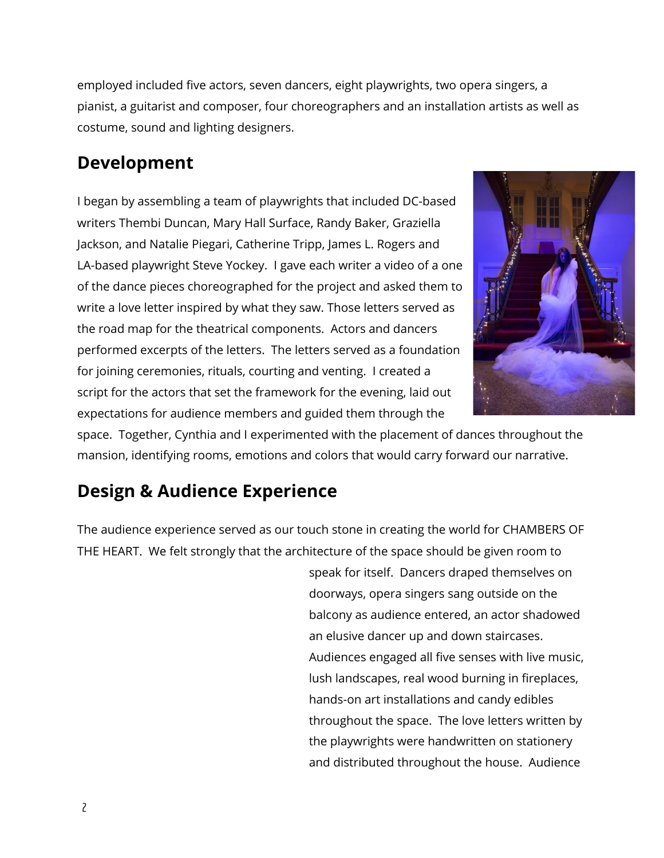employed included five actors, seven dancers, eight playwrights, two opera singers, a pianist, a guitarist and composer, four choreographers and an installation artists as well as costume, sound and lighting designers.

## **Development**

I began by assembling a team of playwrights that included DC-based writers Thembi Duncan, Mary Hall Surface, Randy Baker, Graziella Jackson, and Natalie Piegari, Catherine Tripp, James L. Rogers and LA-based playwright Steve Yockey. I gave each writer a video of a one of the dance pieces choreographed for the project and asked them to write a love letter inspired by what they saw. Those letters served as the road map for the theatrical components. Actors and dancers performed excerpts of the letters. The letters served as a foundation for joining ceremonies, rituals, courting and venting. I created a script for the actors that set the framework for the evening, laid out expectations for audience members and guided them through the



space. Together, Cynthia and I experimented with the placement of dances throughout the mansion, identifying rooms, emotions and colors that would carry forward our narrative.

## **Design & Audience Experience**

The audience experience served as our touch stone in creating the world for CHAMBERS OF THE HEART. We felt strongly that the architecture of the space should be given room to

> speak for itself. Dancers draped themselves on doorways, opera singers sang outside on the balcony as audience entered, an actor shadowed an elusive dancer up and down staircases. Audiences engaged all five senses with live music, lush landscapes, real wood burning in fireplaces, hands-on art installations and candy edibles throughout the space. The love letters written by the playwrights were handwritten on stationery and distributed throughout the house. Audience